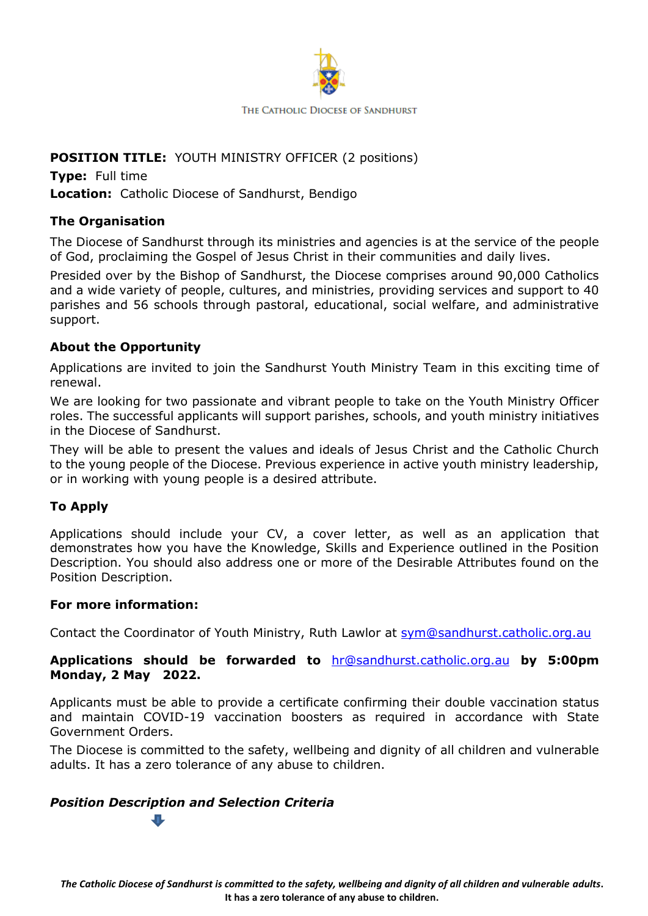

# **POSITION TITLE:** YOUTH MINISTRY OFFICER (2 positions)

**Type:** Full time **Location:** Catholic Diocese of Sandhurst, Bendigo

## **The Organisation**

The Diocese of Sandhurst through its ministries and agencies is at the service of the people of God, proclaiming the Gospel of Jesus Christ in their communities and daily lives.

Presided over by the Bishop of Sandhurst, the Diocese comprises around 90,000 Catholics and a wide variety of people, cultures, and ministries, providing services and support to 40 parishes and 56 schools through pastoral, educational, social welfare, and administrative support.

#### **About the Opportunity**

Applications are invited to join the Sandhurst Youth Ministry Team in this exciting time of renewal.

We are looking for two passionate and vibrant people to take on the Youth Ministry Officer roles. The successful applicants will support parishes, schools, and youth ministry initiatives in the Diocese of Sandhurst.

They will be able to present the values and ideals of Jesus Christ and the Catholic Church to the young people of the Diocese. Previous experience in active youth ministry leadership, or in working with young people is a desired attribute.

## **To Apply**

Applications should include your CV, a cover letter, as well as an application that demonstrates how you have the Knowledge, Skills and Experience outlined in the Position Description. You should also address one or more of the Desirable Attributes found on the Position Description.

#### **For more information:**

Contact the Coordinator of Youth Ministry, Ruth Lawlor at [sym@sandhurst.catholic.org.au](mailto:sym@sandhurst.catholic.org.au)

#### **Applications should be forwarded to** [hr@sandhurst.catholic.org.au](mailto:hr@sandhurst.catholic.org.au) **by 5:00pm Monday, 2 May 2022.**

Applicants must be able to provide a certificate confirming their double vaccination status and maintain COVID-19 vaccination boosters as required in accordance with State Government Orders.

The Diocese is committed to the safety, wellbeing and dignity of all children and vulnerable adults. It has a zero tolerance of any abuse to children.

#### *Position Description and Selection Criteria*

*The Catholic Diocese of Sandhurst is committed to the safety, wellbeing and dignity of all children and vulnerable adults***. It has a zero tolerance of any abuse to children.**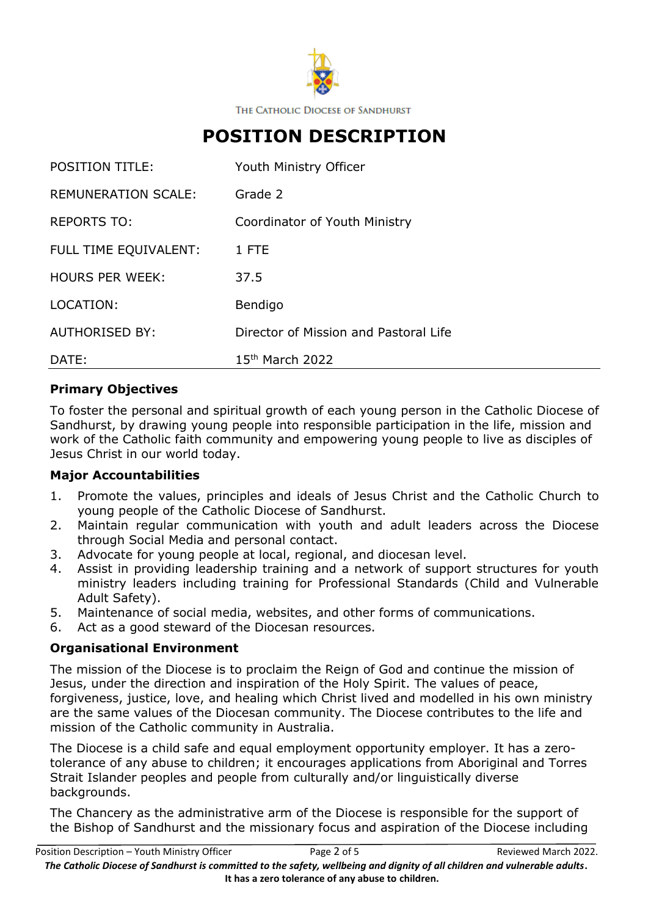

THE CATHOLIC DIOCESE OF SANDHURST

# **POSITION DESCRIPTION**

| <b>POSITION TITLE:</b>     | Youth Ministry Officer                |
|----------------------------|---------------------------------------|
| <b>REMUNERATION SCALE:</b> | Grade 2                               |
| <b>REPORTS TO:</b>         | Coordinator of Youth Ministry         |
| FULL TIME EQUIVALENT:      | 1 FTE                                 |
| <b>HOURS PER WEEK:</b>     | 37.5                                  |
| LOCATION:                  | Bendigo                               |
| <b>AUTHORISED BY:</b>      | Director of Mission and Pastoral Life |
| DATE:                      | 15 <sup>th</sup> March 2022           |

#### **Primary Objectives**

To foster the personal and spiritual growth of each young person in the Catholic Diocese of Sandhurst, by drawing young people into responsible participation in the life, mission and work of the Catholic faith community and empowering young people to live as disciples of Jesus Christ in our world today.

#### **Major Accountabilities**

- 1. Promote the values, principles and ideals of Jesus Christ and the Catholic Church to young people of the Catholic Diocese of Sandhurst.
- 2. Maintain regular communication with youth and adult leaders across the Diocese through Social Media and personal contact.
- 3. Advocate for young people at local, regional, and diocesan level.
- 4. Assist in providing leadership training and a network of support structures for youth ministry leaders including training for Professional Standards (Child and Vulnerable Adult Safety).
- 5. Maintenance of social media, websites, and other forms of communications.
- 6. Act as a good steward of the Diocesan resources.

## **Organisational Environment**

The mission of the Diocese is to proclaim the Reign of God and continue the mission of Jesus, under the direction and inspiration of the Holy Spirit. The values of peace, forgiveness, justice, love, and healing which Christ lived and modelled in his own ministry are the same values of the Diocesan community. The Diocese contributes to the life and mission of the Catholic community in Australia.

The Diocese is a child safe and equal employment opportunity employer. It has a zerotolerance of any abuse to children; it encourages applications from Aboriginal and Torres Strait Islander peoples and people from culturally and/or linguistically diverse backgrounds.

The Chancery as the administrative arm of the Diocese is responsible for the support of the Bishop of Sandhurst and the missionary focus and aspiration of the Diocese including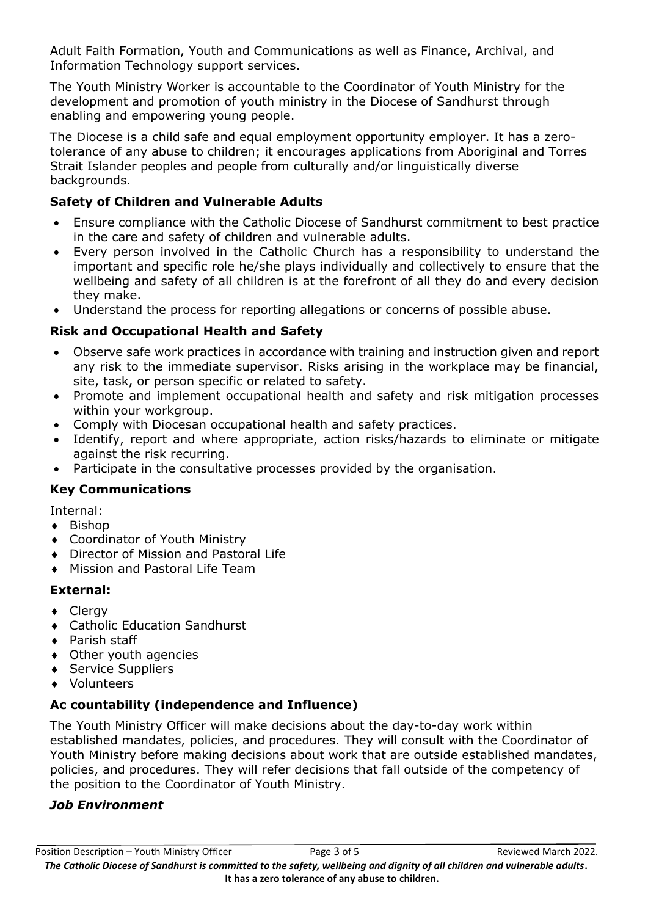Adult Faith Formation, Youth and Communications as well as Finance, Archival, and Information Technology support services.

The Youth Ministry Worker is accountable to the Coordinator of Youth Ministry for the development and promotion of youth ministry in the Diocese of Sandhurst through enabling and empowering young people.

The Diocese is a child safe and equal employment opportunity employer. It has a zerotolerance of any abuse to children; it encourages applications from Aboriginal and Torres Strait Islander peoples and people from culturally and/or linguistically diverse backgrounds.

# **Safety of Children and Vulnerable Adults**

- Ensure compliance with the Catholic Diocese of Sandhurst commitment to best practice in the care and safety of children and vulnerable adults.
- Every person involved in the Catholic Church has a responsibility to understand the important and specific role he/she plays individually and collectively to ensure that the wellbeing and safety of all children is at the forefront of all they do and every decision they make.
- Understand the process for reporting allegations or concerns of possible abuse.

# **Risk and Occupational Health and Safety**

- Observe safe work practices in accordance with training and instruction given and report any risk to the immediate supervisor. Risks arising in the workplace may be financial, site, task, or person specific or related to safety.
- Promote and implement occupational health and safety and risk mitigation processes within your workgroup.
- Comply with Diocesan occupational health and safety practices.
- Identify, report and where appropriate, action risks/hazards to eliminate or mitigate against the risk recurring.
- Participate in the consultative processes provided by the organisation.

# **Key Communications**

Internal:

- ◆ Bishop
- Coordinator of Youth Ministry
- Director of Mission and Pastoral Life
- Mission and Pastoral Life Team

# **External:**

- Clergy
- Catholic Education Sandhurst
- ◆ Parish staff
- Other youth agencies
- ◆ Service Suppliers
- Volunteers

# **Ac countability (independence and Influence)**

The Youth Ministry Officer will make decisions about the day-to-day work within established mandates, policies, and procedures. They will consult with the Coordinator of Youth Ministry before making decisions about work that are outside established mandates, policies, and procedures. They will refer decisions that fall outside of the competency of the position to the Coordinator of Youth Ministry.

# *Job Environment*

Position Description – Youth Ministry Officer Page 3 of 5 Reviewed March 2022. *The Catholic Diocese of Sandhurst is committed to the safety, wellbeing and dignity of all children and vulnerable adults***. It has a zero tolerance of any abuse to children.**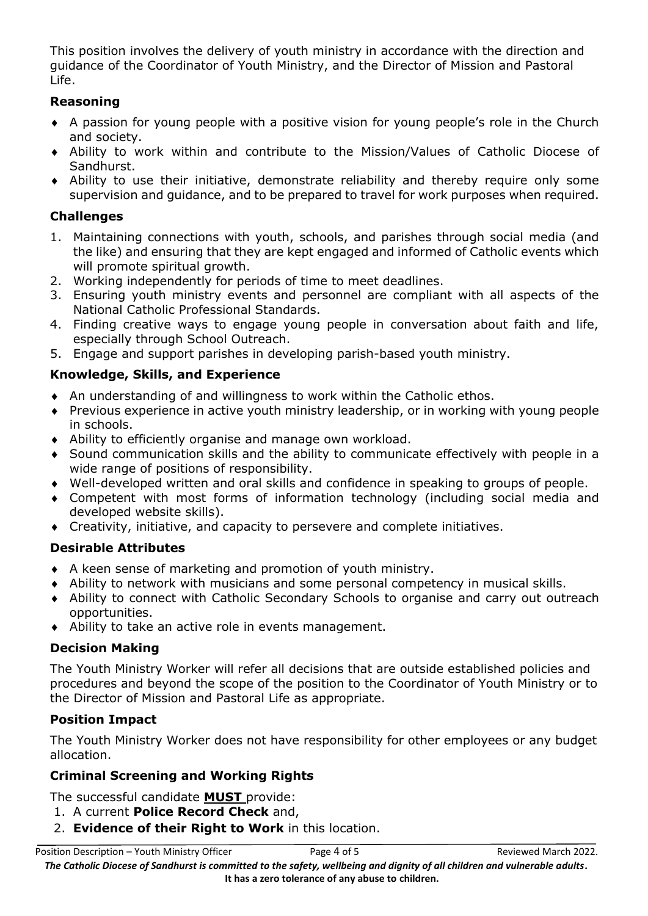This position involves the delivery of youth ministry in accordance with the direction and guidance of the Coordinator of Youth Ministry, and the Director of Mission and Pastoral Life.

## **Reasoning**

- A passion for young people with a positive vision for young people's role in the Church and society.
- Ability to work within and contribute to the Mission/Values of Catholic Diocese of Sandhurst.
- Ability to use their initiative, demonstrate reliability and thereby require only some supervision and guidance, and to be prepared to travel for work purposes when required.

## **Challenges**

- 1. Maintaining connections with youth, schools, and parishes through social media (and the like) and ensuring that they are kept engaged and informed of Catholic events which will promote spiritual growth.
- 2. Working independently for periods of time to meet deadlines.
- 3. Ensuring youth ministry events and personnel are compliant with all aspects of the National Catholic Professional Standards.
- 4. Finding creative ways to engage young people in conversation about faith and life, especially through School Outreach.
- 5. Engage and support parishes in developing parish-based youth ministry.

## **Knowledge, Skills, and Experience**

- An understanding of and willingness to work within the Catholic ethos.
- Previous experience in active youth ministry leadership, or in working with young people in schools.
- Ability to efficiently organise and manage own workload.
- Sound communication skills and the ability to communicate effectively with people in a wide range of positions of responsibility.
- Well-developed written and oral skills and confidence in speaking to groups of people.
- Competent with most forms of information technology (including social media and developed website skills).
- Creativity, initiative, and capacity to persevere and complete initiatives.

## **Desirable Attributes**

- A keen sense of marketing and promotion of youth ministry.
- Ability to network with musicians and some personal competency in musical skills.
- Ability to connect with Catholic Secondary Schools to organise and carry out outreach opportunities.
- Ability to take an active role in events management.

## **Decision Making**

The Youth Ministry Worker will refer all decisions that are outside established policies and procedures and beyond the scope of the position to the Coordinator of Youth Ministry or to the Director of Mission and Pastoral Life as appropriate.

# **Position Impact**

The Youth Ministry Worker does not have responsibility for other employees or any budget allocation.

# **Criminal Screening and Working Rights**

The successful candidate **MUST** provide:

- 1. A current **Police Record Check** and,
- 2. **Evidence of their Right to Work** in this location.